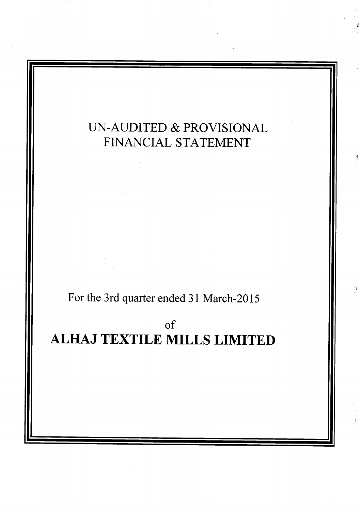# LIN-AUDITED & PROVISIONAL FINANCIAL STATEMENT

For the 3rd quarter ended 31 March-2015

# of

# ALHAJ TEXTILE MILLS LIMITED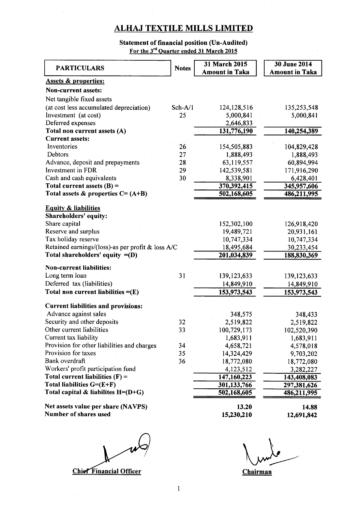## ALHAJ TEXTILE MILLS LIMITED

#### Statement of financial position (Un-Audited) For the 3"d Ouarter ended 3l March 2015

| <b>PARTICULARS</b>                                            | <b>Notes</b> | <b>31 March 2015</b>  | <b>30 June 2014</b>   |
|---------------------------------------------------------------|--------------|-----------------------|-----------------------|
|                                                               |              | <b>Amount in Taka</b> | <b>Amount in Taka</b> |
| <b>Assets &amp; properties:</b><br><b>Non-current</b> assets: |              |                       |                       |
|                                                               |              |                       |                       |
| Net tangible fixed assets                                     |              |                       |                       |
| (at cost less accumulated depreciation)                       | $Sch-A/1$    | 124, 128, 516         | 135,253,548           |
| Investment (at cost)                                          | 25           | 5,000,841             | 5,000,841             |
| Deferred expenses                                             |              | 2,646,833             |                       |
| Total non current assets (A)                                  |              | 131,776,190           | 140,254,389           |
| <b>Current assets:</b>                                        |              |                       |                       |
| Inventories                                                   | 26           | 154,505,883           | 104,829,428           |
| Debtors                                                       | 27           | 1,888,493             | 1,888,493             |
| Advance, deposit and prepayments                              | 28           | 63,119,557            | 60,894,994            |
| <b>Investment</b> in FDR                                      | 29           | 142,539,581           | 171,916,290           |
| Cash and cash equivalents                                     | 30           | 8,338,901             | 6,428,401             |
| Total current assets $(B)$ =                                  |              | 370,392,415           | 345,957,606           |
| Total assets $\&$ properties $C = (A+B)$                      |              | 502,168,605           | 486,211,995           |
| <b>Equity &amp; liabilities</b>                               |              |                       |                       |
| Shareholders' equity:                                         |              |                       |                       |
| Share capital                                                 |              | 152,302,100           | 126,918,420           |
| Reserve and surplus                                           |              | 19,489,721            | 20,931,161            |
| Tax holiday reserve                                           |              | 10,747,334            | 10,747,334            |
| Retained earnings/(loss)-as per profit & loss A/C             |              | 18,495,684            | 30,233,454            |
| Total shareholders' equity $= (D)$                            |              | 201,034,839           | 188,830,369           |
|                                                               |              |                       |                       |
| <b>Non-current liabilities:</b>                               |              |                       |                       |
| Long term loan                                                | 31           | 139, 123, 633         | 139, 123, 633         |
| Deferred tax (liabilities)                                    |              | 14,849,910            | 14,849,910            |
| Total non current liabilities $=(E)$                          |              | 153,973,543           | 153,973,543           |
| <b>Current liabilities and provisions:</b>                    |              |                       |                       |
| Advance against sales                                         |              | 348,575               | 348,433               |
| Security and other deposits                                   | 32           | 2,519,822             | 2,519,822             |
| Other current liabilities                                     | 33           | 100,729,173           | 102,520,390           |
| Current tax liability                                         |              | 1,683,911             | 1,683,911             |
| Provision for other liabilities and charges                   | 34           | 4,658,721             | 4,578,018             |
| Provision for taxes                                           | 35           | 14,324,429            | 9,703,202             |
| Bank overdraft                                                | 36           | 18,772,080            | 18,772,080            |
| Workers' profit participation fund                            |              | 4,123,512             | 3,282,227             |
| Total current liabilities $(F)$ =                             |              | 147,160,223           | 143,408,083           |
| Total liabilities $G=(E+F)$                                   |              | 301,133,766           | 297,381,626           |
| Total capital & liabilites $H=(D+G)$                          |              | 502,168,605           | 486,211,995           |
|                                                               |              |                       |                       |
| Net assets value per share (NAVPS)                            |              | 13.20                 | 14.88                 |
| Number of shares used                                         |              | 15,230,210            | 12,691,842            |

**Chief Financial Officer** 

 $\mu$ undo **Chairman**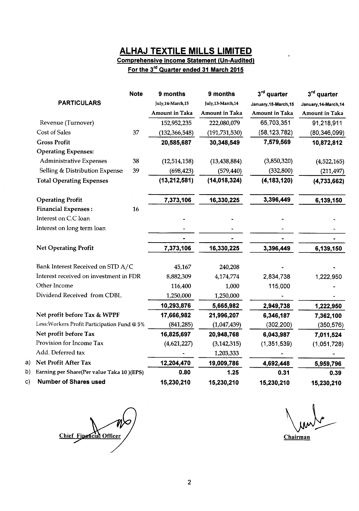## ALHAJ TEXTILE MILLS LIMITED

# Comprehensive Income Statement (Un-Audited)

For the  $3^{rd}$  Quarter ended 31 March 2015

|                                              | <b>Note</b> | 9 months              | 9 months              | 3rd quarter           | $3rd$ quarter         |
|----------------------------------------------|-------------|-----------------------|-----------------------|-----------------------|-----------------------|
| <b>PARTICULARS</b>                           |             | July, 14-March, 15    | July, 13-March, 14    | January, 15-March, 15 | January, 14-March, 14 |
|                                              |             | <b>Amount in Taka</b> | <b>Amount in Taka</b> | <b>Amount in Taka</b> | <b>Amount in Taka</b> |
| Revenue (Turnover)                           |             | 152,952,235           | 222,080,079           | 65,703,351            | 91,218,911            |
| Cost of Sales                                | 37          | (132, 366, 548)       | (191, 731, 530)       | (58, 123, 782)        | (80, 346, 099)        |
| <b>Gross Profit</b>                          |             | 20,585,687            | 30,348,549            | 7,579,569             | 10,872,812            |
| <b>Operating Expenses:</b>                   |             |                       |                       |                       |                       |
| Administrative Expenses                      | 38          | (12,514,158)          | (13, 438, 884)        | (3,850,320)           | (4,522,165)           |
| Selling & Distribution Expense:              | 39          | (698, 423)            | (579, 440)            | (332, 800)            | (211, 497)            |
| <b>Total Operating Expenses</b>              |             | (13, 212, 581)        | (14, 018, 324)        | (4, 183, 120)         | (4,733,662)           |
|                                              |             |                       |                       |                       |                       |
| <b>Operating Profit</b>                      |             | 7,373,106             | 16,330,225            | 3,396,449             | 6,139,150             |
| <b>Financial Expenses:</b>                   | 16          |                       |                       |                       |                       |
| Interest on C.C loan                         |             |                       |                       |                       |                       |
| Interest on long term loan                   |             |                       |                       |                       |                       |
|                                              |             |                       |                       |                       |                       |
| <b>Net Operating Profit</b>                  |             | 7,373,106             | 16,330,225            | 3,396,449             | 6,139,150             |
| Bank Interest Received on STD A/C            |             | 45,167                | 240,208               |                       |                       |
| Interest received on investment in FDR       |             | 8,882,309             | 4,174,774             | 2,834,738             | 1,222,950             |
| Other Income                                 |             | 116,400               | 1,000                 | 115,000               |                       |
| Dividend Received from CDBL                  |             | 1,250,000             | 1,250,000             |                       |                       |
|                                              |             | 10,293,876            | 5,665,982             | 2,949,738             | 1,222,950             |
| Net profit before Tax & WPPF                 |             | 17,666,982            | 21,996,207            | 6,346,187             | 7,362,100             |
| Less: Workers Profit Participation Fund @ 5% |             | (841, 285)            | (1,047,439)           | (302, 200)            | (350, 576)            |
| Net profit before Tax                        |             | 16,825,697            | 20,948,768            | 6,043,987             | 7,011,524             |
| Provision for Income Tax                     |             | (4,621,227)           | (3, 142, 315)         | (1, 351, 539)         | (1,051,728)           |
| Add. Deferred tax                            |             |                       | 1,203,333             |                       |                       |
| Net Profit After Tax                         |             | 12,204,470            | 19,009,786            | 4,692,448             | 5,959,796             |
| Earning per Share(Per value Taka 10)(EPS)    |             | 0.80                  | 1.25                  | 0.31                  | 0.39                  |
| <b>Number of Shares used</b>                 |             | 15,230,210            | 15,230,210            | 15,230,210            | 15,230,210            |

Chief Financial Officer

a) b) c)

**Chairman**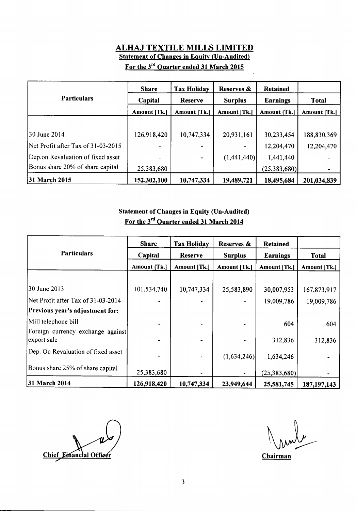# ALHAJ TEXTILE MILLS LIMITED Statement of Changes in Equity (Un-Audited)

|                                    | <b>Share</b> | <b>Tax Holiday</b> | Reserves &     | <b>Retained</b> |              |
|------------------------------------|--------------|--------------------|----------------|-----------------|--------------|
| <b>Particulars</b>                 | Capital      | Reserve            | <b>Surplus</b> | <b>Earnings</b> | <b>Total</b> |
|                                    | Amount [Tk.] | Amount [Tk.]       | Amount [Tk.]   | Amount [Tk.]    | Amount [Tk.] |
|                                    |              |                    |                |                 |              |
| 30 June 2014                       | 126,918,420  | 10,747,334         | 20,931,161     | 30,233,454      | 188,830,369  |
| Net Profit after Tax of 31-03-2015 |              |                    |                | 12,204,470      | 12,204,470   |
| Dep.on Revaluation of fixed asset  |              |                    | (1,441,440)    | 1,441,440       |              |
| Bonus share 20% of share capital   | 25,383,680   |                    |                | (25,383,680)    |              |
| 31 March 2015                      | 152,302,100  | 10,747,334         | 19,489,721     | 18,495,684      | 201,034,839  |

# For the 3'd Ouarter ended 31 March 2015

### Statement of Changes in Equity (Un-Audited) For the 3<sup>rd</sup> Quarter ended 31 March 2014

|                                                  | <b>Share</b>        | <b>Tax Holiday</b> | Reserves &     | <b>Retained</b> |               |
|--------------------------------------------------|---------------------|--------------------|----------------|-----------------|---------------|
| <b>Particulars</b>                               | Capital             | <b>Reserve</b>     | <b>Surplus</b> | <b>Earnings</b> | <b>Total</b>  |
|                                                  | <b>Amount [Tk.]</b> | Amount [Tk.]       | Amount [Tk.]   | Amount [Tk.]    | Amount [Tk.]  |
|                                                  |                     |                    |                |                 |               |
| 30 June 2013                                     | 101,534,740         | 10,747,334         | 25,583,890     | 30,007,953      | 167,873,917   |
| Net Profit after Tax of 31-03-2014               |                     |                    |                | 19,009,786      | 19,009,786    |
| Previous year's adjustment for:                  |                     |                    |                |                 |               |
| Mill telephone bill                              |                     |                    |                | 604             | 604           |
| Foreign currency exchange against<br>export sale |                     |                    |                | 312,836         | 312,836       |
| Dep. On Revaluation of fixed asset               |                     |                    | (1,634,246)    | 1,634,246       |               |
| Bonus share 25% of share capital                 | 25,383,680          |                    |                | (25, 383, 680)  |               |
| 31 March 2014                                    | 126,918,420         | 10,747,334         | 23,949,644     | 25,581,745      | 187, 197, 143 |

Chief Einanclal Officer

**Chairman**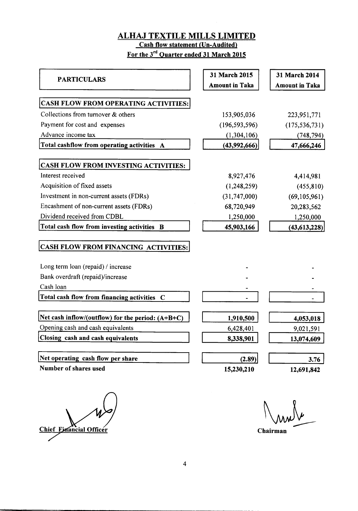#### ALHAJ TEXTILE MILLS LIMITED **Cash flow statement (Un-Audited)**

For the 3'd Ouarter ended 3l March 2015

| <b>PARTICULARS</b>                                  | 31 March 2015         | 31 March 2014         |
|-----------------------------------------------------|-----------------------|-----------------------|
|                                                     | <b>Amount in Taka</b> | <b>Amount in Taka</b> |
| CASH FLOW FROM OPERATING ACTIVITIES:                |                       |                       |
| Collections from turnover & others                  | 153,905,036           | 223,951,771           |
| Payment for cost and expenses                       | (196, 593, 596)       | (175, 536, 731)       |
| Advance income tax                                  | (1,304,106)           | (748, 794)            |
| Total cashflow from operating activities A          | (43,992,666)          | 47,666,246            |
| CASH FLOW FROM INVESTING ACTIVITIES:                |                       |                       |
| Interest received                                   | 8,927,476             | 4,414,981             |
| Acquisition of fixed assets                         | (1,248,259)           | (455, 810)            |
| Investment in non-current assets (FDRs)             | (31, 747, 000)        | (69, 105, 961)        |
| Encashment of non-current assets (FDRs)             | 68,720,949            | 20,283,562            |
| Dividend received from CDBL                         | 1,250,000             | 1,250,000             |
| Total cash flow from investing activities B         | 45,903,166            | (43, 613, 228)        |
| CASH FLOW FROM FINANCING ACTIVITIES:                |                       |                       |
| Long term loan (repaid) / increase                  |                       |                       |
| Bank overdraft (repaid)/increase                    |                       |                       |
| Cash loan                                           |                       |                       |
| Total cash flow from financing activities C         |                       |                       |
| Net cash inflow/(outflow) for the period: $(A+B+C)$ | 1,910,500             | 4,053,018             |
| Opening cash and cash equivalents                   | 6,428,401             | 9,021,591             |
| Closing cash and cash equivalents                   | 8,338,901             | 13,074,609            |
| Net operating cash flow per share                   | (2.89)                | 3.76                  |
| Number of shares used                               | 15,230,210            | 12,691,842            |
|                                                     |                       |                       |

Chief Financial Officer

t\[ l\\^/L

Chairman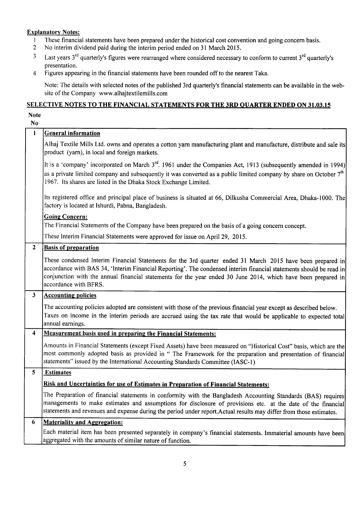#### **Explanatory Notes:**

- I These financial statements have been prepared under the historical cost convention and going concern basis.<br>2 No interim dividend paid during the interim period ended on 31 March 2015.
- 2 No interim dividend paid during the interim period ended on 3l March 2015.
- $3$  Last years  $3<sup>rd</sup>$  quarterly's figures were rearranged where considered necessary to conform to current  $3<sup>rd</sup>$  quarterly's presentation.
- 4 Figures appearing in the financial statements have been rounded offto the nearest Taka.

Note: The details with selected notes of the published 3rd quarterly's financial statements can be available in the website of the Company www.alhajtextilemills.com

#### SELECTIVE NOTES TO THE FINANCIAL STATEMENTS FOR THE 3RD QUARTER ENDED ON 31.03.15

#### Note

| No.                  |                                                                                                                                                                                                                                                                                                                                                                             |
|----------------------|-----------------------------------------------------------------------------------------------------------------------------------------------------------------------------------------------------------------------------------------------------------------------------------------------------------------------------------------------------------------------------|
| 1                    | <b>General information</b>                                                                                                                                                                                                                                                                                                                                                  |
|                      | Alhaj Textile Mills Ltd. owns and operates a cotton yarn manufacturing plant and manufacture, distribute and sale its<br>product (yarn), in local and foreign markets.                                                                                                                                                                                                      |
|                      | It is a 'company' incorporated on March $3^{rd}$ . 1961 under the Companies Act, 1913 (subsequently amended in 1994)<br>as a private limited company and subsequently it was converted as a public limited company by share on October 7 <sup>th</sup><br>1967. Its shares are listed in the Dhaka Stock Exchange Limited.                                                  |
|                      | Its registered office and principal place of business is situated at 66, Dilkusha Commercial Area, Dhaka-1000. The<br>factory is located at Ishurdi, Pabna, Bangladesh.                                                                                                                                                                                                     |
|                      | <b>Going Concern:</b>                                                                                                                                                                                                                                                                                                                                                       |
|                      | The Financial Statements of the Company have been prepared on the basis of a going concern concept.                                                                                                                                                                                                                                                                         |
|                      | These Interim Financial Statements were approved for issue on April 29, 2015.                                                                                                                                                                                                                                                                                               |
| $\mathbf{2}$         | <b>Basis of preparation</b>                                                                                                                                                                                                                                                                                                                                                 |
|                      | These condensed Interim Financial Statements for the 3rd quarter ended 31 March 2015 have been prepared in<br>accordance with BAS 34, 'Interim Financial Reporting'. The condensed interim financial statements should be read in<br>conjunction with the annual financial statements for the year ended 30 June 2014, which have been prepared in<br>accordance with BFRS. |
| 3 <sup>7</sup>       | <b>Accounting policies</b>                                                                                                                                                                                                                                                                                                                                                  |
|                      | The accounting policies adopted are consistent with those of the previous financial year except as described below.<br>Taxes on income in the interim periods are accrued using the tax rate that would be applicable to expected total<br>annual earnings.                                                                                                                 |
| $\blacktriangleleft$ | <b>Measurement basis used in preparing the Financial Statements:</b>                                                                                                                                                                                                                                                                                                        |
|                      | Amounts in Financial Statements (except Fixed Assets) have been measured on "Historical Cost" basis, which are the<br>most commonly adopted basis as provided in " The Framework for the preparation and presentation of financial<br>statements" issued by the International Accounting Standards Committee (IASC-1)                                                       |
| 5                    | <b>Estimates</b>                                                                                                                                                                                                                                                                                                                                                            |
|                      | Risk and Uncertainties for use of Estimates in Preparation of Financial Statements:                                                                                                                                                                                                                                                                                         |
|                      | The Preparation of financial statements in conformity with the Bangladesh Accounting Standards (BAS) requires<br>managements to make estimates and assumptions for disclosure of provisions etc. at the date of the financial<br>statements and revenues and expense during the period under report. Actual results may differ from those estimates.                        |
| 6                    | <b>Materiality and Aggregation:</b>                                                                                                                                                                                                                                                                                                                                         |
|                      | Each material item has been presented separately in company's financial statements. Immaterial amounts have been<br>aggregated with the amounts of similar nature of function.                                                                                                                                                                                              |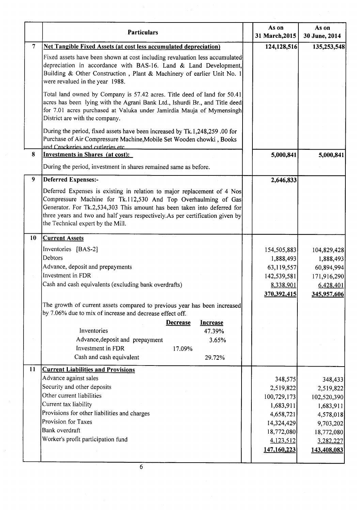|                  | <b>Particulars</b>                                                                                                                                                                                                                                                                                                                           | As on<br>31 March, 2015                                                                                               | As on<br>30 June, 2014                                                                                               |
|------------------|----------------------------------------------------------------------------------------------------------------------------------------------------------------------------------------------------------------------------------------------------------------------------------------------------------------------------------------------|-----------------------------------------------------------------------------------------------------------------------|----------------------------------------------------------------------------------------------------------------------|
| $\overline{7}$   | <b>Net Tangible Fixed Assets (at cost less accumulated depreciation)</b>                                                                                                                                                                                                                                                                     | 124,128,516                                                                                                           | 135,253,548                                                                                                          |
|                  | Fixed assets have been shown at cost including revaluation less accumulated<br>depreciation in accordance with BAS-16. Land & Land Development,<br>Building & Other Construction, Plant & Machinery of earlier Unit No. 1<br>were revalued in the year 1988.                                                                                 |                                                                                                                       |                                                                                                                      |
|                  | Total land owned by Company is 57.42 acres. Title deed of land for 50.41<br>acres has been lying with the Agrani Bank Ltd., Ishurdi Br., and Title deed<br>for 7.01 acres purchased at Valuka under Jamirdia Mauja of Mymensingh<br>District are with the company.                                                                           |                                                                                                                       |                                                                                                                      |
|                  | During the period, fixed assets have been increased by Tk.1,248,259.00 for<br>Purchase of Air Compressure Machine, Mobile Set Wooden chowki, Books<br>and Crockeries and cutleries etc.                                                                                                                                                      |                                                                                                                       |                                                                                                                      |
| 8                | <b>Investments in Shares (at cost):</b>                                                                                                                                                                                                                                                                                                      | 5,000,841                                                                                                             | 5,000,841                                                                                                            |
|                  | During the period, investment in shares remained same as before.                                                                                                                                                                                                                                                                             |                                                                                                                       |                                                                                                                      |
| $\boldsymbol{9}$ | <b>Deferred Expenses:-</b>                                                                                                                                                                                                                                                                                                                   | 2,646,833                                                                                                             |                                                                                                                      |
|                  | Deferred Expenses is existing in relation to major replacement of 4 Nos<br>Compressure Machine for Tk.112,530 And Top Overhaulming of Gas<br>Generator. For Tk.2,534,303 This amount has been taken into deferred for<br>three years and two and half years respectively. As per certification given by<br>the Technical expert by the Mill. |                                                                                                                       |                                                                                                                      |
| 10               | <b>Current Assets</b>                                                                                                                                                                                                                                                                                                                        |                                                                                                                       |                                                                                                                      |
|                  | Inventories [BAS-2]<br>Debtors<br>Advance, deposit and prepayments<br>Investment in FDR<br>Cash and cash equivalents (excluding bank overdrafts)                                                                                                                                                                                             | 154,505,883<br>1,888,493<br>63,119,557<br>142,539,581<br>8,338,901                                                    | 104,829,428<br>1,888,493<br>60,894,994<br>171,916,290<br>6,428,401                                                   |
|                  | The growth of current assets compared to previous year has been increased<br>by 7.06% due to mix of increase and decrease effect off.                                                                                                                                                                                                        | 370,392,415                                                                                                           | 345,957,606                                                                                                          |
|                  | <b>Increase</b><br><b>Decrease</b><br>Inventories<br>47.39%<br>Advance, deposit and prepayment<br>3.65%<br>Investment in FDR<br>17.09%<br>Cash and cash equivalent<br>29.72%                                                                                                                                                                 |                                                                                                                       |                                                                                                                      |
| 11               | <b>Current Liabilities and Provisions</b><br>Advance against sales<br>Security and other deposits<br>Other current liabilities<br>Current tax liability<br>Provisions for other liabilities and charges<br>Provision for Taxes<br>Bank overdraft<br>Worker's profit participation fund                                                       | 348,575<br>2,519,822<br>100,729,173<br>1,683,911<br>4,658,721<br>14,324,429<br>18,772,080<br>4,123,512<br>147,160,223 | 348,433<br>2,519,822<br>102,520,390<br>1,683,911<br>4,578,018<br>9,703,202<br>18,772,080<br>3,282,227<br>143,408,083 |
|                  | 6                                                                                                                                                                                                                                                                                                                                            |                                                                                                                       |                                                                                                                      |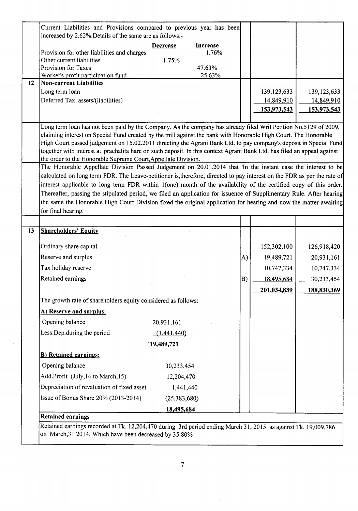| Current Liabilities and Provisions compared to previous year has been                                                                                                                    |                              |                  |    |               |                                         |
|------------------------------------------------------------------------------------------------------------------------------------------------------------------------------------------|------------------------------|------------------|----|---------------|-----------------------------------------|
| increased by 2.62%. Details of the same are as follows:-                                                                                                                                 |                              |                  |    |               |                                         |
|                                                                                                                                                                                          | <b>Decrease</b>              | <b>Increase</b>  |    |               |                                         |
| Provision for other liabilities and charges                                                                                                                                              |                              | 1.76%            |    |               |                                         |
| Other current liabilities                                                                                                                                                                | 1.75%                        |                  |    |               |                                         |
| Provision for Taxes<br>Worker's profit participation fund                                                                                                                                |                              | 47.63%<br>25.63% |    |               |                                         |
| <b>Non-current Liabilities</b>                                                                                                                                                           |                              |                  |    |               |                                         |
| Long term loan                                                                                                                                                                           |                              |                  |    | 139, 123, 633 | 139, 123, 633                           |
| Deferred Tax assets/(liabilities)                                                                                                                                                        |                              |                  |    | 14,849,910    | 14,849,910                              |
|                                                                                                                                                                                          |                              |                  |    | 153,973,543   | <u>153,973,543</u>                      |
| Long term loan has not been paid by the Company. As the company has already filed Writ Petition No.5129 of 2009,                                                                         |                              |                  |    |               |                                         |
| claiming interest on Special Fund created by the mill against the bank with Honorable High Court. The Honorable                                                                          |                              |                  |    |               |                                         |
| High Court passed judgement on 15.02.2011 directing the Agrani Bank Ltd. to pay company's deposit in Special Fund                                                                        |                              |                  |    |               |                                         |
| together with interest at prachalita hare on such deposit. In this context Agrani Bank Ltd. has filed an appeal against<br>the order to the Honorable Supreme Court, Appellate Division. |                              |                  |    |               |                                         |
| The Honorable Appellate Division Passed Judgement on 20.01.2014 that 'In the instant case the interest to be                                                                             |                              |                  |    |               |                                         |
| calculated on long term FDR. The Leave-petitioner is, therefore, directed to pay interest on the FDR as per the rate of                                                                  |                              |                  |    |               |                                         |
| interest applicable to long term FDR within 1(one) month of the availability of the certified copy of this order.                                                                        |                              |                  |    |               |                                         |
| Thereafter, passing the stipulated period, we filed an application for issuence of Supplimentary Rule. After hearing                                                                     |                              |                  |    |               |                                         |
| the same the Honorable High Court Division fixed the original application for hearing and now the matter awaiting                                                                        |                              |                  |    |               |                                         |
| for final hearing.                                                                                                                                                                       |                              |                  |    |               |                                         |
|                                                                                                                                                                                          |                              |                  |    |               |                                         |
| <b>Shareholders' Equity</b>                                                                                                                                                              |                              |                  |    |               |                                         |
|                                                                                                                                                                                          |                              |                  |    |               |                                         |
| Ordinary share capital                                                                                                                                                                   |                              |                  |    | 152,302,100   | 126,918,420                             |
| Reserve and surplus                                                                                                                                                                      |                              |                  | A) | 19,489,721    | 20,931,161                              |
| Tax holiday reserve                                                                                                                                                                      |                              |                  |    | 10,747,334    |                                         |
| Retained earnings                                                                                                                                                                        |                              |                  | B) | 18,495,684    |                                         |
|                                                                                                                                                                                          |                              |                  |    | 201,034,839   |                                         |
| The growth rate of shareholders equity considered as follows:                                                                                                                            |                              |                  |    |               |                                         |
| A) Reserve and surplus:                                                                                                                                                                  |                              |                  |    |               | 10,747,334<br>30,233,454<br>188,830,369 |
| Opening balance                                                                                                                                                                          | 20,931,161                   |                  |    |               |                                         |
| Less.Dep.during the period                                                                                                                                                               | (1, 441, 440)                |                  |    |               |                                         |
|                                                                                                                                                                                          | '19,489,721                  |                  |    |               |                                         |
| <b>B)</b> Retained earnings:                                                                                                                                                             |                              |                  |    |               |                                         |
| Opening balance                                                                                                                                                                          | 30,233,454                   |                  |    |               |                                         |
| Add.Profit (July, 14 to March, 15)                                                                                                                                                       | 12,204,470                   |                  |    |               |                                         |
| Depreciation of revaluation of fixed asset                                                                                                                                               | 1,441,440                    |                  |    |               |                                         |
| Issue of Bonus Share 20% (2013-2014)                                                                                                                                                     |                              |                  |    |               |                                         |
|                                                                                                                                                                                          | (25, 383, 680)<br>18,495,684 |                  |    |               |                                         |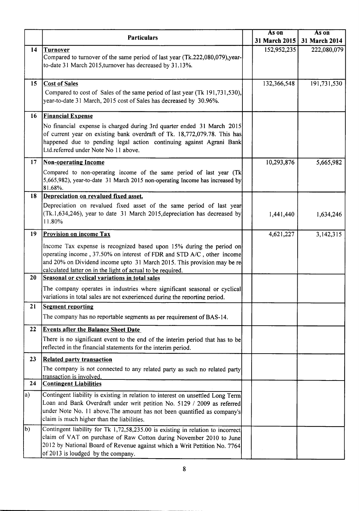|                  |                                                                                                                                                                                                                                                                                         | As on         | As on         |
|------------------|-----------------------------------------------------------------------------------------------------------------------------------------------------------------------------------------------------------------------------------------------------------------------------------------|---------------|---------------|
|                  | <b>Particulars</b>                                                                                                                                                                                                                                                                      | 31 March 2015 | 31 March 2014 |
| 14               | <b>Turnover</b><br>Compared to turnover of the same period of last year (Tk.222,080,079), year-<br>to-date 31 March 2015, turnover has decreased by 31.13%.                                                                                                                             | 152,952,235   | 222,080,079   |
| 15 <sup>15</sup> | <b>Cost of Sales</b><br>Compared to cost of Sales of the same period of last year (Tk 191,731,530),<br>year-to-date 31 March, 2015 cost of Sales has decreased by 30.96%.                                                                                                               | 132,366,548   | 191,731,530   |
| 16               | <b>Financial Expense</b>                                                                                                                                                                                                                                                                |               |               |
|                  | No financial expense is charged during 3rd quarter ended 31 March 2015<br>of current year on existing bank overdraft of Tk. 18,772,079.78. This has<br>happened due to pending legal action continuing against Agrani Bank<br>Ltd.referred under Note No 11 above.                      |               |               |
| 17 <sub>2</sub>  | <b>Non-operating Income</b>                                                                                                                                                                                                                                                             | 10,293,876    | 5,665,982     |
|                  | Compared to non-operating income of the same period of last year (Tk<br>5,665,982), year-to-date 31 March 2015 non-operating Income has increased by<br>81.68%.                                                                                                                         |               |               |
| 18               | Depreciation on revalued fixed asset.                                                                                                                                                                                                                                                   |               |               |
|                  | Depreciation on revalued fixed asset of the same period of last year<br>(Tk.1,634,246), year to date 31 March 2015, depreciation has decreased by<br>11.80%                                                                                                                             | 1,441,440     | 1,634,246     |
| 19               | <b>Provision on income Tax</b>                                                                                                                                                                                                                                                          | 4,621,227     | 3,142,315     |
|                  | Income Tax expense is recognized based upon 15% during the period on<br>operating income, 37.50% on interest of FDR and STD A/C, other income<br>and 20% on Dividend income upto 31 March 2015. This provision may be re<br>calculated latter on in the light of actual to be required. |               |               |
| 20               | Seasonal or cyclical variations in total sales                                                                                                                                                                                                                                          |               |               |
|                  | The company operates in industries where significant seasonal or cyclical<br>variations in total sales are not experienced during the reporting period.                                                                                                                                 |               |               |
| 21               | <b>Segment reporting</b>                                                                                                                                                                                                                                                                |               |               |
|                  | The company has no reportable segments as per requirement of BAS-14.                                                                                                                                                                                                                    |               |               |
| 22               | <b>Events after the Balance Sheet Date</b>                                                                                                                                                                                                                                              |               |               |
|                  | There is no significant event to the end of the interim period that has to be<br>reflected in the financial statements for the interim period.                                                                                                                                          |               |               |
| 23               | <b>Related party transaction</b>                                                                                                                                                                                                                                                        |               |               |
|                  | The company is not connected to any related party as such no related party                                                                                                                                                                                                              |               |               |
| 24               | transaction is involved.                                                                                                                                                                                                                                                                |               |               |
|                  | <b>Contingent Liabilities</b>                                                                                                                                                                                                                                                           |               |               |
| a)               | Contingent liability is existing in relation to interest on unsettled Long Term<br>Loan and Bank Overdraft under writ petition No. 5129 / 2009 as referred<br>under Note No. 11 above. The amount has not been quantified as company's<br>claim is much higher than the liabilities.    |               |               |
| $ b\rangle$      | Contingent liability for Tk 1,72,58,235.00 is existing in relation to incorrect<br>claim of VAT on purchase of Raw Cotton during November 2010 to June<br>2012 by National Board of Revenue against which a Writ Pettition No. 7764<br>of 2013 is loudged by the company.               |               |               |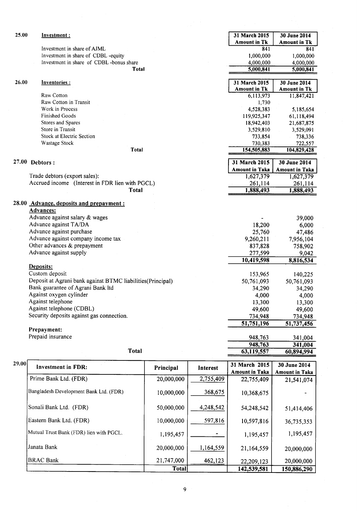| 25.00 | Investment:                                                |            |           | 31 March 2015         | 30 June 2014          |
|-------|------------------------------------------------------------|------------|-----------|-----------------------|-----------------------|
|       |                                                            |            |           | <b>Amount in Tk</b>   | <b>Amount in Tk</b>   |
|       | Investment in share of AJML                                |            |           | 841                   | 841                   |
|       | Investment in share of CDBL-equity                         |            |           | 1,000,000             | 1,000,000             |
|       | Investment in share of CDBL-bonus share                    |            |           | 4,000,000             | 4,000,000             |
|       | Total                                                      |            |           | 5,000,841             | 5,000,841             |
|       |                                                            |            |           |                       |                       |
| 26.00 | Inventories:                                               |            |           | 31 March 2015         | 30 June 2014          |
|       |                                                            |            |           | <b>Amount in Tk</b>   | <b>Amount in Tk</b>   |
|       | Raw Cotton                                                 |            |           | 6,113,973             | 11,847,421            |
|       | Raw Cotton in Transit                                      |            |           | 1,730                 |                       |
|       | Work in Process                                            |            |           | 4,528,383             | 5,185,654             |
|       | Finished Goods                                             |            |           | 119,925,347           | 61,118,494            |
|       | Stores and Spares                                          |            |           | 18,942,403            | 21,687,875            |
|       | Store in Transit                                           |            |           | 3,529,810             | 3,529,091             |
|       | Stock at Electric Section                                  |            |           | 733,854               | 738,336               |
|       | Wastage Stock                                              |            |           | 730,383               | 722,557               |
|       | <b>Total</b>                                               |            |           | 154,505,883           | 104,829,428           |
|       |                                                            |            |           |                       |                       |
|       | $27.00$ Debtors:                                           |            |           | 31 March 2015         | 30 June 2014          |
|       |                                                            |            |           | <b>Amount in Taka</b> | <b>Amount in Taka</b> |
|       | Trade debtors (export sales):                              |            |           | 1,627,379             | 1,627,379             |
|       | Accrued income (Interest in FDR lien with PGCL)            |            |           | 261,114               | 261,114               |
|       | <b>Total</b>                                               |            |           | 1,888,493             | 1,888,493             |
|       |                                                            |            |           |                       |                       |
|       | 28.00 Advance, deposits and prepayment :                   |            |           |                       |                       |
|       | <b>Advances:</b>                                           |            |           |                       |                       |
|       | Advance against salary & wages                             |            |           |                       | 39,000                |
|       | Advance against TA/DA                                      |            |           | 18,200                | 6,000                 |
|       | Advance against purchase                                   |            |           | 25,760                | 47,486                |
|       | Advance against company income tax                         |            |           | 9,260,211             | 7,956,104             |
|       | Other advances & prepayment                                |            |           | 837,828               | 758,902               |
|       | Advance against supply                                     |            |           | 277,599               | 9,042                 |
|       |                                                            |            |           | 10,419,598            | 8,816,534             |
|       | Deposits:                                                  |            |           |                       |                       |
|       | Custom deposit                                             |            |           | 153,965               | 140,225               |
|       | Deposit at Agrani bank against BTMC liabilities(Principal) |            |           | 50,761,093            | 50,761,093            |
|       | Bank guarantee of Agrani Bank ltd                          |            |           | 34,290                | 34,290                |
|       | Against oxygen cylinder                                    |            |           | 4,000                 | 4,000                 |
|       | Against telephone                                          |            |           | 13,300                |                       |
|       | Against telephone (CDBL)                                   |            |           |                       | 13,300                |
|       | Security deposits against gas connection.                  |            |           | 49,600                | 49,600                |
|       |                                                            |            |           | 734,948               | 734,948               |
|       | Prepayment:                                                |            |           | 51,751,196            | 51,737,456            |
|       | Prepaid insurance                                          |            |           |                       |                       |
|       |                                                            |            |           | 948,763               | 341,004               |
|       | Total                                                      |            |           | 948,763               | 341,004               |
|       |                                                            |            |           | 63,119,557            | 60,894,994            |
| 29.00 |                                                            |            |           | 31 March 2015         | 30 June 2014          |
|       | <b>Investment in FDR:</b>                                  | Principal  | Interest  | <b>Amount in Taka</b> | <b>Amount in Taka</b> |
|       | Prime Bank Ltd. (FDR)                                      | 20,000,000 | 2,755,409 | 22,755,409            | 21,541,074            |
|       |                                                            |            |           |                       |                       |
|       | Bangladesh Development Bank Ltd. (FDR)                     | 10,000,000 | 368,675   | 10,368,675            |                       |
|       |                                                            |            |           |                       |                       |
|       | Sonali Bank Ltd. (FDR)                                     | 50,000,000 | 4,248,542 | 54,248,542            |                       |
|       |                                                            |            |           |                       | 51,414,406            |
|       | Eastern Bank Ltd. (FDR)                                    | 10,000,000 | 597,816   | 10,597,816            | 36,735,353            |
|       |                                                            |            |           |                       |                       |
|       | Mutual Trust Bank (FDR) lien with PGCL.                    | 1,195,457  |           | 1,195,457             | 1,195,457             |

|            |                | 142,539,581  | 150,886,290 |
|------------|----------------|--------------|-------------|
| 21,747,000 | 462,123        | 22,209,123   | 20,000,000  |
| 20,000,000 | 1,164,559      | 21,164,559   | 20,000,000  |
| 1,195,457  | $\blacksquare$ | 1,195,457    | 1,195,457   |
| 10,000,000 | 597,816        | 10,597,816   | 36,735,353  |
|            |                | <b>Total</b> |             |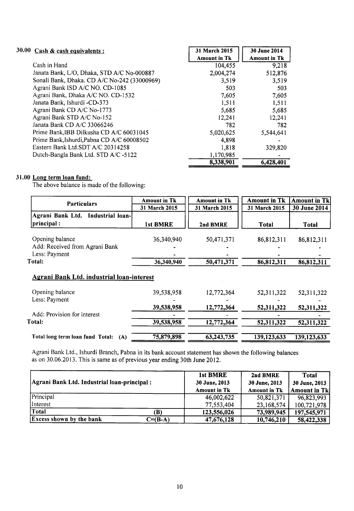| 30.00 | $Cash & cash \text{ equivalents :}$          | 31 March 2015       | 30 June 2014        |
|-------|----------------------------------------------|---------------------|---------------------|
|       |                                              | <b>Amount in Tk</b> | <b>Amount in Tk</b> |
|       | Cash in Hand                                 | 104,455             | 9,218               |
|       | Janata Bank, L/O, Dhaka, STD A/C No-000887   | 2,004,274           | 512,876             |
|       | Sonali Bank, Dhaka. CD A/C No-242 (33000969) | 3,519               | 3,519               |
|       | Agrani Bank ISD A/C NO. CD-1085              | 503                 | 503                 |
|       | Agrani Bank, Dhaka A/C NO. CD-1532           | 7,605               | 7,605               |
|       | Janata Bank, Ishurdi -CD-373                 | 1,511               | 1,511               |
|       | Agrani Bank CD A/C No-1773                   | 5,685               | 5,685               |
|       | Agrani Bank STD A/C No-152                   | 12,241              | 12,241              |
|       | Janata Bank CD A/C 33066246                  | 782                 | 782                 |
|       | Prime Bank, IBB Dilkusha CD A/C 60031045     | 5,020,625           | 5,544,641           |
|       | Prime Bank, Ishurdi, Pabna CD A/C 60008502   | 4,898               |                     |
|       | Eastern Bank Ltd.SDT A/C 20314258            | 1,818               | 329,820             |
|       | Dutch-Bangla Bank Ltd. STD A/C -5122         | 1,170,985           |                     |
|       |                                              | 8,338,901           | 6.428,401           |
|       |                                              |                     |                     |

#### 31.00 Long term loan fund:

The above balance is made of the following

| <b>Particulars</b>                               | <b>Amount in Tk</b> | <b>Amount in Tk</b>     | <b>Amount in Tk</b> | <b>Amount in Tk</b> |
|--------------------------------------------------|---------------------|-------------------------|---------------------|---------------------|
|                                                  | 31 March 2015       | 31 March 2015           | 31 March 2015       | 30 June 2014        |
| Agrani Bank Ltd.<br>Industrial loan-             |                     |                         |                     |                     |
| principal:                                       | 1st BMRE            | 2nd BMRE                | <b>Total</b>        | Total               |
|                                                  |                     |                         |                     |                     |
| Opening balance                                  | 36,340,940          | 50,471,371              | 86,812,311          | 86,812,311          |
| Add: Received from Agrani Bank                   |                     |                         |                     |                     |
| Less: Payment                                    |                     |                         |                     |                     |
| Total:                                           | 36,340,940          | $\overline{50,471,371}$ | 86,812,311          | 86,812,311          |
| <b>Agrani Bank Ltd. industrial loan-interest</b> |                     |                         |                     |                     |
| Opening balance                                  | 39,538,958          | 12,772,364              | 52,311,322          | 52,311,322          |
| Less: Payment                                    |                     |                         |                     |                     |
|                                                  | 39,538,958          | 12,772,364              | 52,311,322          | 52,311,322          |
| Add: Provision for interest                      |                     |                         |                     |                     |
| Total:                                           | 39,538,958          | 12,772,364              | 52,311,322          | 52,311,322          |
| Total long term loan fund Total:<br>(A)          | 75,879,898          | 63,243,735              | 139,123,633         | 139,123,633         |

Agrani Bank Ltd., Ishurdi Branch, Pabna in its bank account statement has shown the following balances<br>as on 30.06.2013. This is same as of previous year ending 30th June 2012. as on 30.06.2013. This is same as of previous year ending 30th June 2012.

|                                             |             | 1st BMRE            | 2nd BMRE            | Total               |
|---------------------------------------------|-------------|---------------------|---------------------|---------------------|
| Agrani Bank Ltd. Industrial loan-principal: |             | 30 June, 2013       | 30 June, 2013       | 30 June, 2013       |
|                                             |             | <b>Amount in Tk</b> | <b>Amount in Tk</b> | <b>Amount in Tk</b> |
| Principal                                   |             | 46,002,622          | 50,821,371          | 96,823,993          |
| Interest                                    |             | 77,553,404          | 23,168,574          | 100,721,978         |
| Total                                       | B)          | 123,556,026         | 73,989,945          | 197,545,971         |
| <b>Excess shown by the bank</b>             | $C = (B-A)$ | 47,676,128          | 10,746,210          | 58,422,338          |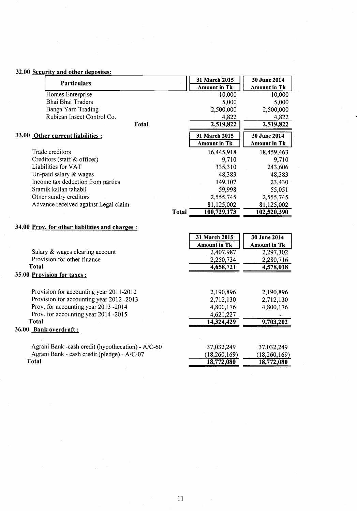| 32.00 Security and other deposites:                         |                     |                     |
|-------------------------------------------------------------|---------------------|---------------------|
| <b>Particulars</b>                                          | 31 March 2015       | 30 June 2014        |
|                                                             | <b>Amount in Tk</b> | <b>Amount in Tk</b> |
| Homes Enterprise                                            | 10,000              | 10,000              |
| <b>Bhai Bhai Traders</b>                                    | 5,000               | 5,000               |
| Banga Yarn Trading                                          | 2,500,000           | 2,500,000           |
| Rubican Insect Control Co.                                  | 4,822               | 4,822               |
| <b>Total</b>                                                | 2,519,822           | 2,519,822           |
| 33.00 Other current liabilities :                           | 31 March 2015       | 30 June 2014        |
|                                                             | <b>Amount in Tk</b> | <b>Amount in Tk</b> |
| Trade creditors                                             | 16,445,918          | 18,459,463          |
| Creditors (staff & officer)                                 | 9,710               | 9,710               |
| Liabilities for VAT                                         | 335,310             | 243,606             |
| Un-paid salary & wages                                      | 48,383              | 48,383              |
| Income tax deduction from parties                           | 149,107             | 23,430              |
| Sramik kallan tahabil                                       | 59,998              | 55,051              |
| Other sundry creditors                                      | 2,555,745           | 2,555,745           |
| Advance received against Legal claim                        | 81,125,002          | 81,125,002          |
| <b>Total</b>                                                | 100,729,173         | 102,520,390         |
| 34.00 Prov. for other liabilities and charges:              | 31 March 2015       | 30 June 2014        |
|                                                             | <b>Amount in Tk</b> | <b>Amount in Tk</b> |
| Salary & wages clearing account                             | 2,407,987           | 2,297,302           |
| Provision for other finance                                 | 2,250,734           | 2,280,716           |
| <b>Total</b>                                                | 4,658,721           | 4,578,018           |
| 35.00 Provision for taxes :                                 |                     |                     |
|                                                             |                     |                     |
| Provision for accounting year 2011-2012                     | 2,190,896           | 2,190,896           |
| Provision for accounting year 2012 -2013                    | 2,712,130           | 2,712,130           |
| Prov. for accounting year 2013 -2014                        | 4,800,176           | 4,800,176           |
| Prov. for accounting year 2014 -2015                        | 4,621,227           |                     |
| Total                                                       | 14,324,429          | 9,703,202           |
| 36.00 Bank overdraft:                                       |                     |                     |
|                                                             |                     |                     |
| Agrani Bank -cash credit (hypothecation) - A/C-60           | 37,032,249          | 37,032,249          |
| Agrani Bank - cash credit (pledge) - A/C-07<br><b>Total</b> | (18, 260, 169)      | (18, 260, 169)      |
|                                                             | 18,772,080          | 18,772,080          |

 $\overline{11}$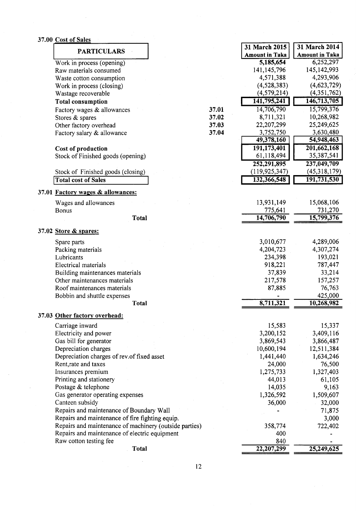#### 37.00 Cost of Sales

| 6,252,297<br>5,185,654<br>Work in process (opening)<br>141, 145, 796<br>145, 142, 993<br>Raw materials consumed<br>4,293,906<br>4,571,388<br>Waste cotton consumption<br>(4,528,383)<br>Work in process (closing)<br>(4, 579, 214)<br>Wastage recoverable<br>141,795,241<br><b>Total consumption</b><br>15,799,376<br>14,706,790<br>37.01<br>Factory wages & allowances<br>10,268,982<br>8,711,321<br>37.02<br>Stores & spares<br>22,207,299<br>25,249,625<br>37.03<br>Other factory overhead<br>3,752,750<br>3,630,480<br>37.04<br>Factory salary & allowance<br>49,378,160<br>54,948,463<br>191,173,401<br>201,662,168<br>Cost of production<br>61,118,494<br>35,387,541<br>Stock of Finished goods (opening)<br>252,291,895<br>237,049,709<br>(119, 925, 347)<br>(45,318,179)<br>Stock of Finished goods (closing)<br>132,366,548<br>191,731,530<br><b>Total cost of Sales</b><br>37.01 Factory wages & allowances:<br>13,931,149<br>15,068,106<br>Wages and allowances<br>775,641<br>731,270<br>Bonus<br>14,706,790<br>15,799,376<br><b>Total</b><br>37.02 Store & spares:<br>3,010,677<br>4,289,006<br>Spare parts<br>4,204,723<br>4,307,274<br>Packing materials<br>193,021<br>Lubricants<br>234,398<br>918,221<br>787,447<br>Electrical materials<br>37,839<br>33,214<br>Building maintenances materials<br>Other maintenances materials<br>157,257<br>217,578<br>Roof maintenances materials<br>87,885<br>76,763<br>425,000<br>Bobbin and shuttle expenses<br>8,711,321<br>10,268,982<br><b>Total</b><br>37.03 Other factory overhead:<br>15,583<br>15,337<br>Carriage inward<br>3,200,152<br>3,409,116<br>Electricity and power<br>3,869,543<br>Gas bill for generator<br>3,866,487<br>Depreciation charges<br>10,600,194<br>12,511,384<br>Depreciation charges of rev.of fixed asset<br>1,441,440<br>1,634,246<br>Rent, rate and taxes<br>24,000<br>76,500<br>1,275,733<br>1,327,403<br>Insurances premium<br>Printing and stationery<br>44,013<br>61,105<br>Postage & telephone<br>14,035<br>9,163<br>Gas generator operating expenses<br>1,326,592<br>1,509,607<br>Canteen subsidy<br>36,000<br>32,000<br>Repairs and maintenance of Boundary Wall<br>71,875<br>Repairs and maintenance of fire fighting equip.<br>3,000<br>Repairs and maintenance of machinery (outside parties)<br>358,774<br>722,402 | <b>PARTICULARS</b> |  | 31 March 2015         | 31 March 2014         |
|----------------------------------------------------------------------------------------------------------------------------------------------------------------------------------------------------------------------------------------------------------------------------------------------------------------------------------------------------------------------------------------------------------------------------------------------------------------------------------------------------------------------------------------------------------------------------------------------------------------------------------------------------------------------------------------------------------------------------------------------------------------------------------------------------------------------------------------------------------------------------------------------------------------------------------------------------------------------------------------------------------------------------------------------------------------------------------------------------------------------------------------------------------------------------------------------------------------------------------------------------------------------------------------------------------------------------------------------------------------------------------------------------------------------------------------------------------------------------------------------------------------------------------------------------------------------------------------------------------------------------------------------------------------------------------------------------------------------------------------------------------------------------------------------------------------------------------------------------------------------------------------------------------------------------------------------------------------------------------------------------------------------------------------------------------------------------------------------------------------------------------------------------------------------------------------------------------------------------------------------------------------------------------------------------------------------|--------------------|--|-----------------------|-----------------------|
|                                                                                                                                                                                                                                                                                                                                                                                                                                                                                                                                                                                                                                                                                                                                                                                                                                                                                                                                                                                                                                                                                                                                                                                                                                                                                                                                                                                                                                                                                                                                                                                                                                                                                                                                                                                                                                                                                                                                                                                                                                                                                                                                                                                                                                                                                                                      |                    |  | <b>Amount in Taka</b> | <b>Amount in Taka</b> |
|                                                                                                                                                                                                                                                                                                                                                                                                                                                                                                                                                                                                                                                                                                                                                                                                                                                                                                                                                                                                                                                                                                                                                                                                                                                                                                                                                                                                                                                                                                                                                                                                                                                                                                                                                                                                                                                                                                                                                                                                                                                                                                                                                                                                                                                                                                                      |                    |  |                       |                       |
|                                                                                                                                                                                                                                                                                                                                                                                                                                                                                                                                                                                                                                                                                                                                                                                                                                                                                                                                                                                                                                                                                                                                                                                                                                                                                                                                                                                                                                                                                                                                                                                                                                                                                                                                                                                                                                                                                                                                                                                                                                                                                                                                                                                                                                                                                                                      |                    |  |                       |                       |
|                                                                                                                                                                                                                                                                                                                                                                                                                                                                                                                                                                                                                                                                                                                                                                                                                                                                                                                                                                                                                                                                                                                                                                                                                                                                                                                                                                                                                                                                                                                                                                                                                                                                                                                                                                                                                                                                                                                                                                                                                                                                                                                                                                                                                                                                                                                      |                    |  |                       |                       |
|                                                                                                                                                                                                                                                                                                                                                                                                                                                                                                                                                                                                                                                                                                                                                                                                                                                                                                                                                                                                                                                                                                                                                                                                                                                                                                                                                                                                                                                                                                                                                                                                                                                                                                                                                                                                                                                                                                                                                                                                                                                                                                                                                                                                                                                                                                                      |                    |  |                       | (4,623,729)           |
|                                                                                                                                                                                                                                                                                                                                                                                                                                                                                                                                                                                                                                                                                                                                                                                                                                                                                                                                                                                                                                                                                                                                                                                                                                                                                                                                                                                                                                                                                                                                                                                                                                                                                                                                                                                                                                                                                                                                                                                                                                                                                                                                                                                                                                                                                                                      |                    |  |                       | (4,351,762)           |
|                                                                                                                                                                                                                                                                                                                                                                                                                                                                                                                                                                                                                                                                                                                                                                                                                                                                                                                                                                                                                                                                                                                                                                                                                                                                                                                                                                                                                                                                                                                                                                                                                                                                                                                                                                                                                                                                                                                                                                                                                                                                                                                                                                                                                                                                                                                      |                    |  |                       | 146,713,705           |
|                                                                                                                                                                                                                                                                                                                                                                                                                                                                                                                                                                                                                                                                                                                                                                                                                                                                                                                                                                                                                                                                                                                                                                                                                                                                                                                                                                                                                                                                                                                                                                                                                                                                                                                                                                                                                                                                                                                                                                                                                                                                                                                                                                                                                                                                                                                      |                    |  |                       |                       |
|                                                                                                                                                                                                                                                                                                                                                                                                                                                                                                                                                                                                                                                                                                                                                                                                                                                                                                                                                                                                                                                                                                                                                                                                                                                                                                                                                                                                                                                                                                                                                                                                                                                                                                                                                                                                                                                                                                                                                                                                                                                                                                                                                                                                                                                                                                                      |                    |  |                       |                       |
|                                                                                                                                                                                                                                                                                                                                                                                                                                                                                                                                                                                                                                                                                                                                                                                                                                                                                                                                                                                                                                                                                                                                                                                                                                                                                                                                                                                                                                                                                                                                                                                                                                                                                                                                                                                                                                                                                                                                                                                                                                                                                                                                                                                                                                                                                                                      |                    |  |                       |                       |
|                                                                                                                                                                                                                                                                                                                                                                                                                                                                                                                                                                                                                                                                                                                                                                                                                                                                                                                                                                                                                                                                                                                                                                                                                                                                                                                                                                                                                                                                                                                                                                                                                                                                                                                                                                                                                                                                                                                                                                                                                                                                                                                                                                                                                                                                                                                      |                    |  |                       |                       |
|                                                                                                                                                                                                                                                                                                                                                                                                                                                                                                                                                                                                                                                                                                                                                                                                                                                                                                                                                                                                                                                                                                                                                                                                                                                                                                                                                                                                                                                                                                                                                                                                                                                                                                                                                                                                                                                                                                                                                                                                                                                                                                                                                                                                                                                                                                                      |                    |  |                       |                       |
|                                                                                                                                                                                                                                                                                                                                                                                                                                                                                                                                                                                                                                                                                                                                                                                                                                                                                                                                                                                                                                                                                                                                                                                                                                                                                                                                                                                                                                                                                                                                                                                                                                                                                                                                                                                                                                                                                                                                                                                                                                                                                                                                                                                                                                                                                                                      |                    |  |                       |                       |
|                                                                                                                                                                                                                                                                                                                                                                                                                                                                                                                                                                                                                                                                                                                                                                                                                                                                                                                                                                                                                                                                                                                                                                                                                                                                                                                                                                                                                                                                                                                                                                                                                                                                                                                                                                                                                                                                                                                                                                                                                                                                                                                                                                                                                                                                                                                      |                    |  |                       |                       |
|                                                                                                                                                                                                                                                                                                                                                                                                                                                                                                                                                                                                                                                                                                                                                                                                                                                                                                                                                                                                                                                                                                                                                                                                                                                                                                                                                                                                                                                                                                                                                                                                                                                                                                                                                                                                                                                                                                                                                                                                                                                                                                                                                                                                                                                                                                                      |                    |  |                       |                       |
|                                                                                                                                                                                                                                                                                                                                                                                                                                                                                                                                                                                                                                                                                                                                                                                                                                                                                                                                                                                                                                                                                                                                                                                                                                                                                                                                                                                                                                                                                                                                                                                                                                                                                                                                                                                                                                                                                                                                                                                                                                                                                                                                                                                                                                                                                                                      |                    |  |                       |                       |
|                                                                                                                                                                                                                                                                                                                                                                                                                                                                                                                                                                                                                                                                                                                                                                                                                                                                                                                                                                                                                                                                                                                                                                                                                                                                                                                                                                                                                                                                                                                                                                                                                                                                                                                                                                                                                                                                                                                                                                                                                                                                                                                                                                                                                                                                                                                      |                    |  |                       |                       |
|                                                                                                                                                                                                                                                                                                                                                                                                                                                                                                                                                                                                                                                                                                                                                                                                                                                                                                                                                                                                                                                                                                                                                                                                                                                                                                                                                                                                                                                                                                                                                                                                                                                                                                                                                                                                                                                                                                                                                                                                                                                                                                                                                                                                                                                                                                                      |                    |  |                       |                       |
|                                                                                                                                                                                                                                                                                                                                                                                                                                                                                                                                                                                                                                                                                                                                                                                                                                                                                                                                                                                                                                                                                                                                                                                                                                                                                                                                                                                                                                                                                                                                                                                                                                                                                                                                                                                                                                                                                                                                                                                                                                                                                                                                                                                                                                                                                                                      |                    |  |                       |                       |
|                                                                                                                                                                                                                                                                                                                                                                                                                                                                                                                                                                                                                                                                                                                                                                                                                                                                                                                                                                                                                                                                                                                                                                                                                                                                                                                                                                                                                                                                                                                                                                                                                                                                                                                                                                                                                                                                                                                                                                                                                                                                                                                                                                                                                                                                                                                      |                    |  |                       |                       |
|                                                                                                                                                                                                                                                                                                                                                                                                                                                                                                                                                                                                                                                                                                                                                                                                                                                                                                                                                                                                                                                                                                                                                                                                                                                                                                                                                                                                                                                                                                                                                                                                                                                                                                                                                                                                                                                                                                                                                                                                                                                                                                                                                                                                                                                                                                                      |                    |  |                       |                       |
|                                                                                                                                                                                                                                                                                                                                                                                                                                                                                                                                                                                                                                                                                                                                                                                                                                                                                                                                                                                                                                                                                                                                                                                                                                                                                                                                                                                                                                                                                                                                                                                                                                                                                                                                                                                                                                                                                                                                                                                                                                                                                                                                                                                                                                                                                                                      |                    |  |                       |                       |
|                                                                                                                                                                                                                                                                                                                                                                                                                                                                                                                                                                                                                                                                                                                                                                                                                                                                                                                                                                                                                                                                                                                                                                                                                                                                                                                                                                                                                                                                                                                                                                                                                                                                                                                                                                                                                                                                                                                                                                                                                                                                                                                                                                                                                                                                                                                      |                    |  |                       |                       |
|                                                                                                                                                                                                                                                                                                                                                                                                                                                                                                                                                                                                                                                                                                                                                                                                                                                                                                                                                                                                                                                                                                                                                                                                                                                                                                                                                                                                                                                                                                                                                                                                                                                                                                                                                                                                                                                                                                                                                                                                                                                                                                                                                                                                                                                                                                                      |                    |  |                       |                       |
|                                                                                                                                                                                                                                                                                                                                                                                                                                                                                                                                                                                                                                                                                                                                                                                                                                                                                                                                                                                                                                                                                                                                                                                                                                                                                                                                                                                                                                                                                                                                                                                                                                                                                                                                                                                                                                                                                                                                                                                                                                                                                                                                                                                                                                                                                                                      |                    |  |                       |                       |
|                                                                                                                                                                                                                                                                                                                                                                                                                                                                                                                                                                                                                                                                                                                                                                                                                                                                                                                                                                                                                                                                                                                                                                                                                                                                                                                                                                                                                                                                                                                                                                                                                                                                                                                                                                                                                                                                                                                                                                                                                                                                                                                                                                                                                                                                                                                      |                    |  |                       |                       |
|                                                                                                                                                                                                                                                                                                                                                                                                                                                                                                                                                                                                                                                                                                                                                                                                                                                                                                                                                                                                                                                                                                                                                                                                                                                                                                                                                                                                                                                                                                                                                                                                                                                                                                                                                                                                                                                                                                                                                                                                                                                                                                                                                                                                                                                                                                                      |                    |  |                       |                       |
|                                                                                                                                                                                                                                                                                                                                                                                                                                                                                                                                                                                                                                                                                                                                                                                                                                                                                                                                                                                                                                                                                                                                                                                                                                                                                                                                                                                                                                                                                                                                                                                                                                                                                                                                                                                                                                                                                                                                                                                                                                                                                                                                                                                                                                                                                                                      |                    |  |                       |                       |
|                                                                                                                                                                                                                                                                                                                                                                                                                                                                                                                                                                                                                                                                                                                                                                                                                                                                                                                                                                                                                                                                                                                                                                                                                                                                                                                                                                                                                                                                                                                                                                                                                                                                                                                                                                                                                                                                                                                                                                                                                                                                                                                                                                                                                                                                                                                      |                    |  |                       |                       |
|                                                                                                                                                                                                                                                                                                                                                                                                                                                                                                                                                                                                                                                                                                                                                                                                                                                                                                                                                                                                                                                                                                                                                                                                                                                                                                                                                                                                                                                                                                                                                                                                                                                                                                                                                                                                                                                                                                                                                                                                                                                                                                                                                                                                                                                                                                                      |                    |  |                       |                       |
|                                                                                                                                                                                                                                                                                                                                                                                                                                                                                                                                                                                                                                                                                                                                                                                                                                                                                                                                                                                                                                                                                                                                                                                                                                                                                                                                                                                                                                                                                                                                                                                                                                                                                                                                                                                                                                                                                                                                                                                                                                                                                                                                                                                                                                                                                                                      |                    |  |                       |                       |
|                                                                                                                                                                                                                                                                                                                                                                                                                                                                                                                                                                                                                                                                                                                                                                                                                                                                                                                                                                                                                                                                                                                                                                                                                                                                                                                                                                                                                                                                                                                                                                                                                                                                                                                                                                                                                                                                                                                                                                                                                                                                                                                                                                                                                                                                                                                      |                    |  |                       |                       |
|                                                                                                                                                                                                                                                                                                                                                                                                                                                                                                                                                                                                                                                                                                                                                                                                                                                                                                                                                                                                                                                                                                                                                                                                                                                                                                                                                                                                                                                                                                                                                                                                                                                                                                                                                                                                                                                                                                                                                                                                                                                                                                                                                                                                                                                                                                                      |                    |  |                       |                       |
|                                                                                                                                                                                                                                                                                                                                                                                                                                                                                                                                                                                                                                                                                                                                                                                                                                                                                                                                                                                                                                                                                                                                                                                                                                                                                                                                                                                                                                                                                                                                                                                                                                                                                                                                                                                                                                                                                                                                                                                                                                                                                                                                                                                                                                                                                                                      |                    |  |                       |                       |
|                                                                                                                                                                                                                                                                                                                                                                                                                                                                                                                                                                                                                                                                                                                                                                                                                                                                                                                                                                                                                                                                                                                                                                                                                                                                                                                                                                                                                                                                                                                                                                                                                                                                                                                                                                                                                                                                                                                                                                                                                                                                                                                                                                                                                                                                                                                      |                    |  |                       |                       |
|                                                                                                                                                                                                                                                                                                                                                                                                                                                                                                                                                                                                                                                                                                                                                                                                                                                                                                                                                                                                                                                                                                                                                                                                                                                                                                                                                                                                                                                                                                                                                                                                                                                                                                                                                                                                                                                                                                                                                                                                                                                                                                                                                                                                                                                                                                                      |                    |  |                       |                       |
|                                                                                                                                                                                                                                                                                                                                                                                                                                                                                                                                                                                                                                                                                                                                                                                                                                                                                                                                                                                                                                                                                                                                                                                                                                                                                                                                                                                                                                                                                                                                                                                                                                                                                                                                                                                                                                                                                                                                                                                                                                                                                                                                                                                                                                                                                                                      |                    |  |                       |                       |
|                                                                                                                                                                                                                                                                                                                                                                                                                                                                                                                                                                                                                                                                                                                                                                                                                                                                                                                                                                                                                                                                                                                                                                                                                                                                                                                                                                                                                                                                                                                                                                                                                                                                                                                                                                                                                                                                                                                                                                                                                                                                                                                                                                                                                                                                                                                      |                    |  |                       |                       |
|                                                                                                                                                                                                                                                                                                                                                                                                                                                                                                                                                                                                                                                                                                                                                                                                                                                                                                                                                                                                                                                                                                                                                                                                                                                                                                                                                                                                                                                                                                                                                                                                                                                                                                                                                                                                                                                                                                                                                                                                                                                                                                                                                                                                                                                                                                                      |                    |  |                       |                       |
|                                                                                                                                                                                                                                                                                                                                                                                                                                                                                                                                                                                                                                                                                                                                                                                                                                                                                                                                                                                                                                                                                                                                                                                                                                                                                                                                                                                                                                                                                                                                                                                                                                                                                                                                                                                                                                                                                                                                                                                                                                                                                                                                                                                                                                                                                                                      |                    |  |                       |                       |
|                                                                                                                                                                                                                                                                                                                                                                                                                                                                                                                                                                                                                                                                                                                                                                                                                                                                                                                                                                                                                                                                                                                                                                                                                                                                                                                                                                                                                                                                                                                                                                                                                                                                                                                                                                                                                                                                                                                                                                                                                                                                                                                                                                                                                                                                                                                      |                    |  |                       |                       |
|                                                                                                                                                                                                                                                                                                                                                                                                                                                                                                                                                                                                                                                                                                                                                                                                                                                                                                                                                                                                                                                                                                                                                                                                                                                                                                                                                                                                                                                                                                                                                                                                                                                                                                                                                                                                                                                                                                                                                                                                                                                                                                                                                                                                                                                                                                                      |                    |  |                       |                       |
|                                                                                                                                                                                                                                                                                                                                                                                                                                                                                                                                                                                                                                                                                                                                                                                                                                                                                                                                                                                                                                                                                                                                                                                                                                                                                                                                                                                                                                                                                                                                                                                                                                                                                                                                                                                                                                                                                                                                                                                                                                                                                                                                                                                                                                                                                                                      |                    |  |                       |                       |
|                                                                                                                                                                                                                                                                                                                                                                                                                                                                                                                                                                                                                                                                                                                                                                                                                                                                                                                                                                                                                                                                                                                                                                                                                                                                                                                                                                                                                                                                                                                                                                                                                                                                                                                                                                                                                                                                                                                                                                                                                                                                                                                                                                                                                                                                                                                      |                    |  |                       |                       |
|                                                                                                                                                                                                                                                                                                                                                                                                                                                                                                                                                                                                                                                                                                                                                                                                                                                                                                                                                                                                                                                                                                                                                                                                                                                                                                                                                                                                                                                                                                                                                                                                                                                                                                                                                                                                                                                                                                                                                                                                                                                                                                                                                                                                                                                                                                                      |                    |  |                       |                       |
|                                                                                                                                                                                                                                                                                                                                                                                                                                                                                                                                                                                                                                                                                                                                                                                                                                                                                                                                                                                                                                                                                                                                                                                                                                                                                                                                                                                                                                                                                                                                                                                                                                                                                                                                                                                                                                                                                                                                                                                                                                                                                                                                                                                                                                                                                                                      |                    |  |                       |                       |
|                                                                                                                                                                                                                                                                                                                                                                                                                                                                                                                                                                                                                                                                                                                                                                                                                                                                                                                                                                                                                                                                                                                                                                                                                                                                                                                                                                                                                                                                                                                                                                                                                                                                                                                                                                                                                                                                                                                                                                                                                                                                                                                                                                                                                                                                                                                      |                    |  |                       |                       |
|                                                                                                                                                                                                                                                                                                                                                                                                                                                                                                                                                                                                                                                                                                                                                                                                                                                                                                                                                                                                                                                                                                                                                                                                                                                                                                                                                                                                                                                                                                                                                                                                                                                                                                                                                                                                                                                                                                                                                                                                                                                                                                                                                                                                                                                                                                                      |                    |  |                       |                       |
|                                                                                                                                                                                                                                                                                                                                                                                                                                                                                                                                                                                                                                                                                                                                                                                                                                                                                                                                                                                                                                                                                                                                                                                                                                                                                                                                                                                                                                                                                                                                                                                                                                                                                                                                                                                                                                                                                                                                                                                                                                                                                                                                                                                                                                                                                                                      |                    |  |                       |                       |
| Repairs and maintenance of electric equipment                                                                                                                                                                                                                                                                                                                                                                                                                                                                                                                                                                                                                                                                                                                                                                                                                                                                                                                                                                                                                                                                                                                                                                                                                                                                                                                                                                                                                                                                                                                                                                                                                                                                                                                                                                                                                                                                                                                                                                                                                                                                                                                                                                                                                                                                        |                    |  | 400                   |                       |
| Raw cotton testing fee<br>840                                                                                                                                                                                                                                                                                                                                                                                                                                                                                                                                                                                                                                                                                                                                                                                                                                                                                                                                                                                                                                                                                                                                                                                                                                                                                                                                                                                                                                                                                                                                                                                                                                                                                                                                                                                                                                                                                                                                                                                                                                                                                                                                                                                                                                                                                        |                    |  |                       |                       |
| <b>Total</b><br>22,207,299                                                                                                                                                                                                                                                                                                                                                                                                                                                                                                                                                                                                                                                                                                                                                                                                                                                                                                                                                                                                                                                                                                                                                                                                                                                                                                                                                                                                                                                                                                                                                                                                                                                                                                                                                                                                                                                                                                                                                                                                                                                                                                                                                                                                                                                                                           |                    |  |                       | 25,249,625            |

 $\ddot{\phantom{a}}$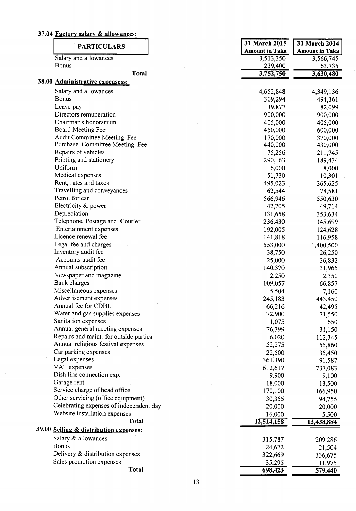### 37.04 Factory salary & allowances:

| <b>PARTICULARS</b>                      |  | 31 March 2015         | 31 March 2014         |
|-----------------------------------------|--|-----------------------|-----------------------|
|                                         |  | <b>Amount in Taka</b> | <b>Amount in Taka</b> |
| Salary and allowances                   |  | 3,513,350             | 3,566,745             |
| Bonus                                   |  | 239,400               | 63,735                |
| <b>Total</b>                            |  | 3,752,750             | 3,630,480             |
| 38.00 Administrative expensess:         |  |                       |                       |
| Salary and allowances                   |  | 4,652,848             | 4,349,136             |
| <b>Bonus</b>                            |  | 309,294               | 494,361               |
| Leave pay                               |  | 39,877                | 82,099                |
| Directors remuneration                  |  | 900,000               | 900,000               |
| Chairman's honorarium                   |  | 405,000               | 405,000               |
| Board Meeting Fee                       |  | 450,000               | 600,000               |
| Audit Committee Meeting Fee             |  | 170,000               | 370,000               |
| Purchase Committee Meeting Fee          |  | 440,000               | 430,000               |
| Repairs of vehicles                     |  | 75,256                | 211,745               |
| Printing and stationery                 |  | 290,163               | 189,434               |
| Uniform                                 |  | 6,000                 | 8,000                 |
| Medical expenses                        |  | 51,730                | 10,301                |
| Rent, rates and taxes                   |  | 495,023               | 365,625               |
| Travelling and conveyances              |  | 62,544                | 78,581                |
| Petrol for car                          |  | 566,946               | 550,630               |
| Electricity & power                     |  | 42,705                | 49,714                |
| Depreciation                            |  | 331,658               | 353,634               |
| Telephone, Postage and Courier          |  | 236,430               | 145,699               |
| Entertainment expenses                  |  | 192,005               | 124,628               |
| Licence renewal fee                     |  | 141,818               | 116,958               |
| Legal fee and charges                   |  | 553,000               | 1,400,500             |
| Inventory audit fee                     |  | 38,750                | 26,250                |
| Accounts audit fee                      |  | 25,000                | 36,832                |
| Annual subscription                     |  | 140,370               | 131,965               |
| Newspaper and magazine                  |  | 2,250                 | 2,350                 |
| Bank charges                            |  | 109,057               | 66,857                |
| Miscellaneous expenses                  |  | 5,504                 | 7,160                 |
| Advertisement expenses                  |  | 245,183               | 443,450               |
| Annual fee for CDBL                     |  | 66,216                | 42,495                |
| Water and gas supplies expenses         |  | 72,900                | 71,550                |
| Sanitation expenses                     |  | 1,075                 | 650                   |
| Annual general meeting expenses         |  | 76,399                | 31,150                |
| Repairs and maint. for outside parties  |  | 6,020                 | 112,345               |
| Annual religious festival expenses      |  | 52,275                | 55,860                |
| Car parking expenses                    |  | 22,500                | 35,450                |
| Legal expenses                          |  | 361,390               | 91,587                |
| VAT expenses                            |  | 612,617               | 737,083               |
| Dish line connection exp.               |  | 9,900                 | 9,100                 |
| Garage rent                             |  | 18,000                | 13,500                |
| Service charge of head office           |  | 170,100               | 166,950               |
| Other servicing (office equipment)      |  | 30,355                | 94,755                |
| Celebrating expenses of independent day |  | 20,000                | 20,000                |
| Website installation expenses           |  | 16,000                | 5,500                 |
| <b>Total</b>                            |  | 12,514,158            | 13,438,884            |
| 39.00 Selling & distribution expenses:  |  |                       |                       |
| Salary & allowances                     |  | 315,787               | 209,286               |
| <b>Bonus</b>                            |  | 24,672                | 21,504                |
| Delivery & distribution expenses        |  | 322,669               | 336,675               |
| Sales promotion expenses                |  | 35,295                | 11,975                |
| <b>Total</b>                            |  | 698,423               | 579,440               |